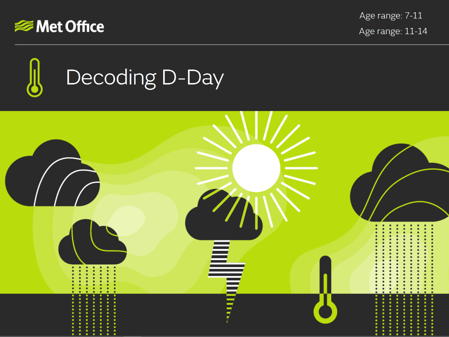

Age range: 7-11 Age range: 11-14



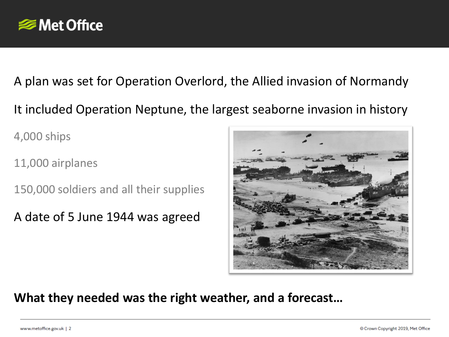

A plan was set for Operation Overlord, the Allied invasion of Normandy It included Operation Neptune, the largest seaborne invasion in history

4,000 ships

11,000 airplanes

150,000 soldiers and all their supplies

A date of 5 June 1944 was agreed



**What they needed was the right weather, and a forecast…**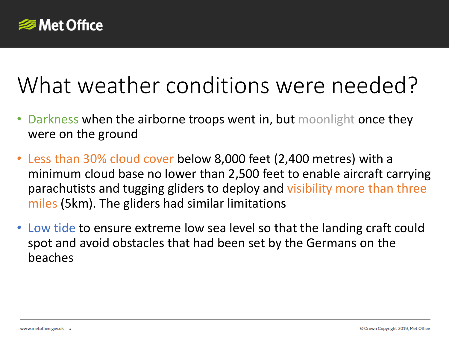

## What weather conditions were needed?

- Darkness when the airborne troops went in, but moonlight once they were on the ground
- Less than 30% cloud cover below 8,000 feet (2,400 metres) with a minimum cloud base no lower than 2,500 feet to enable aircraft carrying parachutists and tugging gliders to deploy and visibility more than three miles (5km). The gliders had similar limitations
- Low tide to ensure extreme low sea level so that the landing craft could spot and avoid obstacles that had been set by the Germans on the beaches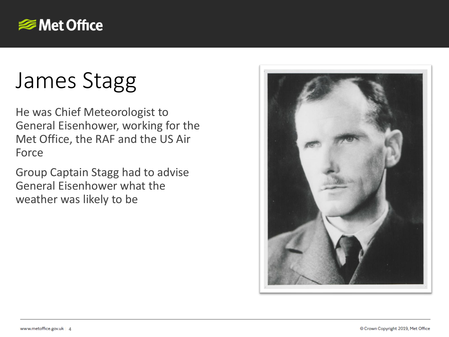

# James Stagg

He was Chief Meteorologist to General Eisenhower, working for the Met Office, the RAF and the US Air Force

Group Captain Stagg had to advise General Eisenhower what the weather was likely to be

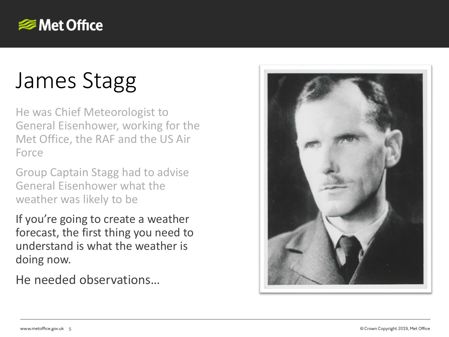

# James Stagg

He was Chief Meteorologist to General Eisenhower, working for the Met Office, the RAF and the US Air Force

Group Captain Stagg had to advise General Eisenhower what the weather was likely to be

If you're going to create a weather forecast, the first thing you need to understand is what the weather is doing now.

He needed observations…

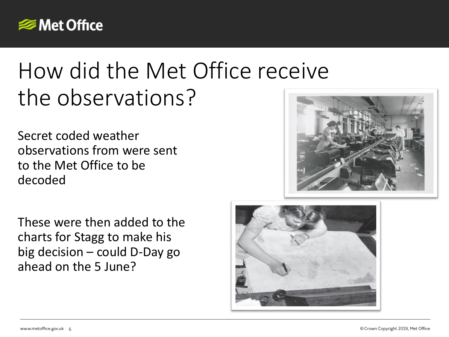

## How did the Met Office receive the observations?

Secret coded weather observations from were sent to the Met Office to be decoded

These were then added to the charts for Stagg to make his big decision – could D-Day go ahead on the 5 June?

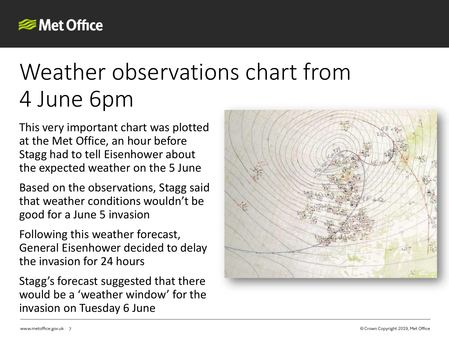

## Weather observations chart from 4 June 6pm

This very important chart was plotted at the Met Office, an hour before Stagg had to tell Eisenhower about the expected weather on the 5 June

Based on the observations, Stagg said that weather conditions wouldn't be good for a June 5 invasion

Following this weather forecast, General Eisenhower decided to delay the invasion for 24 hours

Stagg's forecast suggested that there would be a 'weather window' for the invasion on Tuesday 6 June

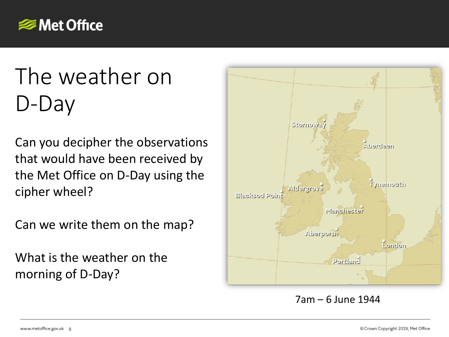

# The weather on D-Day

Can you decipher the observations that would have been received by the Met Office on D-Day using the cipher wheel?

Can we write them on the map?

What is the weather on the morning of D-Day?

www.metoffice.gov.uk | 8



#### 7am – 6 June 1944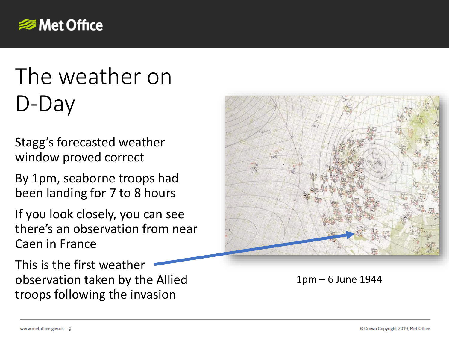

# The weather on D-Day

Stagg's forecasted weather window proved correct

By 1pm, seaborne troops had been landing for 7 to 8 hours

If you look closely, you can see there's an observation from near Caen in France

This is the first weather observation taken by the Allied troops following the invasion



1pm – 6 June 1944